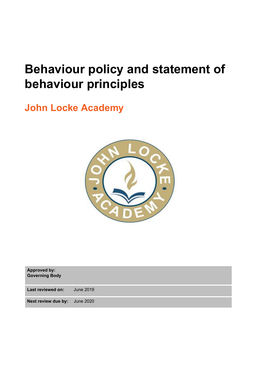# **Behaviour policy and statement of behaviour principles**

**John Locke Academy**



**Approved by: Governing Body**

**Last reviewed on:** June 2019

**Next review due by:** June 2020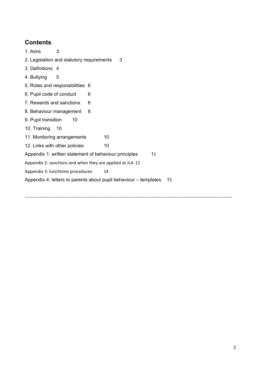### **Contents**

- 1. Aims 3
- 2. Legislation and statutory requirements [3](#page-2-0)
- 3. Definitions [4](#page-2-1)
- 4. Bullying [5](#page-3-0)
- 5. Roles and responsibilities 6
- 6. Pupil code of conduct 6
- 7. Rewards and sanctions 6
- [8](#page-7-0). Behaviour management 8
- 9. Pupil transition 10
- 10. Training 10
- 11. Monitoring arrangements 10
- 12. Links with other policies 10

Appendix [1](#page-9-0): written statement of behaviour principles 11

Appendix 2: sanctions and when they are applied at JLA 11

Appendix 3: lunchtime procedures 14

Appendix 4: letters to parents about pupil behaviour – templates 15

**…………………………………………………………………………………………………………………………….**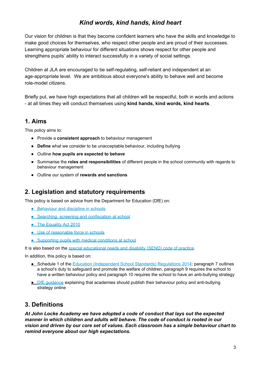### *Kind words, kind hands, kind heart*

Our vision for children is that they become confident learners who have the skills and knowledge to make good choices for themselves, who respect other people and are proud of their successes. Learning appropriate behaviour for different situations shows respect for other people and strengthens pupils' ability to interact successfully in a variety of social settings.

Children at JLA are encouraged to be self-regulating, self-reliant and independent at an age-appropriate level. We are ambitious about everyone's ability to behave well and become role-model citizens.

Briefly put, we have high expectations that all children will be respectful, both in words and actions - at all times they will conduct themselves using **kind hands, kind words, kind hearts**.

### **1. Aims**

This policy aims to:

- Provide a **consistent approach** to behaviour management
- **Define** what we consider to be unacceptable behaviour, including bullying
- Outline **how pupils are expected to behave**
- Summarise the **roles and responsibilities** of different people in the school community with regards to behaviour management
- <span id="page-2-0"></span>● Outline our system of **rewards and sanctions**

### **2. Legislation and statutory requirements**

This policy is based on advice from the Department for Education (DfE) on:

- [Behaviour](https://www.gov.uk/government/publications/behaviour-and-discipline-in-schools) and discipline in schools
- Searching, screening and [confiscation](https://www.gov.uk/government/publications/searching-screening-and-confiscation) at school
- The [Equality](https://www.gov.uk/government/publications/equality-act-2010-advice-for-schools) Act 2010
- Use of [reasonable](https://www.gov.uk/government/publications/use-of-reasonable-force-in-schools) force in schools
- **[Supporting](https://www.gov.uk/government/publications/supporting-pupils-at-school-with-medical-conditions--3) pupils with medical conditions at school**

It is also based on the special [educational](https://www.gov.uk/government/publications/send-code-of-practice-0-to-25) needs and disability (SEND) code of practice.

In addition, this policy is based on:

- Schedule 1 of the Education [\(Independent](http://www.legislation.gov.uk/uksi/2014/3283/schedule/made) School Standards) Regulations 2014; paragraph 7 outlines a school's duty to safeguard and promote the welfare of children, paragraph 9 requires the school to have a written behaviour policy and paragraph 10 requires the school to have an anti-bullying strategy
- <span id="page-2-1"></span>● DfE quidance explaining that academies should publish their behaviour policy and anti-bullying strategy online

### **3. Definitions**

*At John Locke Academy we have adopted a code of conduct that lays out the expected manner in which children and adults will behave. The code of conduct is rooted in our vision and driven by our core set of values. Each classroom has a simple behaviour chart to remind everyone about our high expectations.*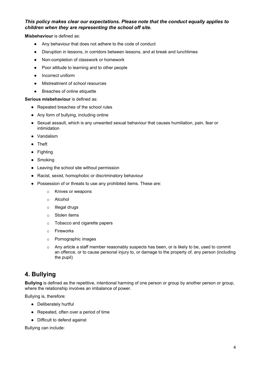#### *This policy makes clear our expectations. Please note that the conduct equally applies to children when they are representing the school off site.*

**Misbehaviour** is defined as:

- Any behaviour that does not adhere to the code of conduct
- Disruption in lessons, in corridors between lessons, and at break and lunchtimes
- Non-completion of classwork or homework
- Poor attitude to learning and to other people
- Incorrect uniform
- Mistreatment of school resources
- Breaches of online etiquette

**Serious misbehaviour** is defined as:

- Repeated breaches of the school rules
- Any form of bullying, including online
- Sexual assault, which is any unwanted sexual behaviour that causes humiliation, pain, fear or intimidation
- Vandalism
- Theft
- Fighting
- Smoking
- Leaving the school site without permission
- Racist, sexist, homophobic or discriminatory behaviour
- Possession of or threats to use any prohibited items. These are:
	- o Knives or weapons
	- o Alcohol
	- o Illegal drugs
	- o Stolen items
	- o Tobacco and cigarette papers
	- o Fireworks
	- o Pornographic images
	- $\circ$  Any article a staff member reasonably suspects has been, or is likely to be, used to commit an offence, or to cause personal injury to, or damage to the property of, any person (including the pupil)

### <span id="page-3-0"></span>**4. Bullying**

**Bullying** is defined as the repetitive, intentional harming of one person or group by another person or group, where the relationship involves an imbalance of power.

Bullying is, therefore:

- Deliberately hurtful
- Repeated, often over a period of time
- Difficult to defend against

Bullying can include: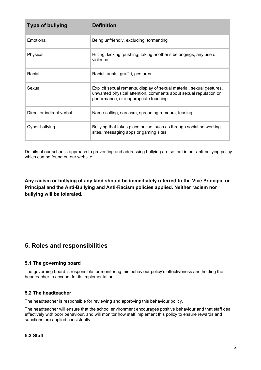| <b>Type of bullying</b>   | <b>Definition</b>                                                                                                                                                                   |
|---------------------------|-------------------------------------------------------------------------------------------------------------------------------------------------------------------------------------|
| Emotional                 | Being unfriendly, excluding, tormenting                                                                                                                                             |
| Physical                  | Hitting, kicking, pushing, taking another's belongings, any use of<br>violence                                                                                                      |
| Racial                    | Racial taunts, graffiti, gestures                                                                                                                                                   |
| Sexual                    | Explicit sexual remarks, display of sexual material, sexual gestures,<br>unwanted physical attention, comments about sexual reputation or<br>performance, or inappropriate touching |
| Direct or indirect verbal | Name-calling, sarcasm, spreading rumours, teasing                                                                                                                                   |
| Cyber-bullying            | Bullying that takes place online, such as through social networking<br>sites, messaging apps or gaming sites                                                                        |

Details of our school's approach to preventing and addressing bullying are set out in our anti-bullying policy which can be found on our website.

**Any racism or bullying of any kind should be immediately referred to the Vice Principal or Principal and the Anti-Bullying and Anti-Racism policies applied. Neither racism nor bullying will be tolerated.**

### **5. Roles and responsibilities**

#### **5.1 The governing board**

The governing board is responsible for monitoring this behaviour policy's effectiveness and holding the headteacher to account for its implementation.

#### **5.2 The headteacher**

The headteacher is responsible for reviewing and approving this behaviour policy.

The headteacher will ensure that the school environment encourages positive behaviour and that staff deal effectively with poor behaviour, and will monitor how staff implement this policy to ensure rewards and sanctions are applied consistently.

#### **5.3 Staff**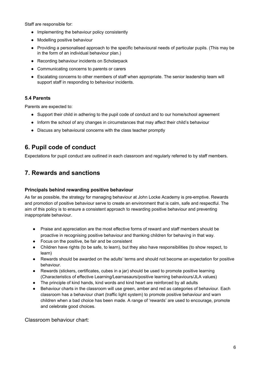Staff are responsible for:

- Implementing the behaviour policy consistently
- Modelling positive behaviour
- Providing a personalised approach to the specific behavioural needs of particular pupils. (This may be in the form of an individual behaviour plan.)
- Recording behaviour incidents on Scholarpack
- Communicating concerns to parents or carers
- Escalating concerns to other members of staff when appropriate. The senior leadership team will support staff in responding to behaviour incidents.

#### **5.4 Parents**

Parents are expected to:

- Support their child in adhering to the pupil code of conduct and to our home/school agreement
- Inform the school of any changes in circumstances that may affect their child's behaviour
- Discuss any behavioural concerns with the class teacher promptly

### **6. Pupil code of conduct**

Expectations for pupil conduct are outlined in each classroom and regularly referred to by staff members.

### **7. Rewards and sanctions**

#### **Principals behind rewarding positive behaviour**

As far as possible, the strategy for managing behaviour at John Locke Academy is pre-emptive. Rewards and promotion of positive behaviour serve to create an environment that is calm, safe and respectful. The aim of this policy is to ensure a consistent approach to rewarding positive behaviour and preventing inappropriate behaviour.

- Praise and appreciation are the most effective forms of reward and staff members should be proactive in recognising positive behaviour and thanking children for behaving in that way.
- Focus on the positive, be fair and be consistent
- Children have rights (to be safe, to learn), but they also have responsibilities (to show respect, to learn)
- Rewards should be awarded on the adults' terms and should not become an expectation for positive behaviour.
- Rewards (stickers, certificates, cubes in a jar) should be used to promote positive learning (Characteristics of effective Learning/Learnasaurs/positive learning behaviours/JLA values)
- The principle of kind hands, kind words and kind heart are reinforced by all adults
- Behaviour charts in the classroom will use green, amber and red as categories of behaviour. Each classroom has a behaviour chart (traffic light system) to promote positive behaviour and warn children when a bad choice has been made. A range of 'rewards' are used to encourage, promote and celebrate good choices.

Classroom behaviour chart: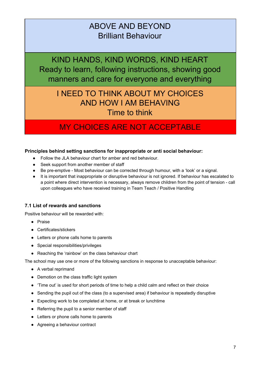# ABOVE AND BEYOND Brilliant Behaviour

KIND HANDS, KIND WORDS, KIND HEART Ready to learn, following instructions, showing good manners and care for everyone and everything

# I NEED TO THINK ABOUT MY CHOICES AND HOW I AM BEHAVING Time to think

# MY CHOICES ARE NOT ACCEPTABLE

#### **Principles behind setting sanctions for inappropriate or anti social behaviour:**

- Follow the JLA behaviour chart for amber and red behaviour.
- Seek support from another member of staff
- Be pre-emptive Most behaviour can be corrected through humour, with a 'look' or a signal.
- It is important that inappropriate or disruptive behaviour is not ignored. If behaviour has escalated to a point where direct intervention is necessary, always remove children from the point of tension - call upon colleagues who have received training in Team Teach / Positive Handling

#### **7.1 List of rewards and sanctions**

Positive behaviour will be rewarded with:

- Praise
- Certificates/stickers
- Letters or phone calls home to parents
- Special responsibilities/privileges
- Reaching the 'rainbow' on the class behaviour chart

The school may use one or more of the following sanctions in response to unacceptable behaviour:

- A verbal reprimand
- Demotion on the class traffic light system
- 'Time out' is used for short periods of time to help a child calm and reflect on their choice
- Sending the pupil out of the class (to a supervised area) if behaviour is repeatedly disruptive
- Expecting work to be completed at home, or at break or lunchtime
- Referring the pupil to a senior member of staff
- Letters or phone calls home to parents
- Agreeing a behaviour contract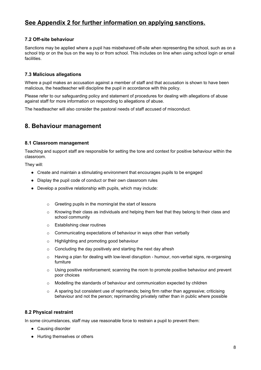### **See Appendix 2 for further information on applying sanctions.**

#### **7.2 Off-site behaviour**

Sanctions may be applied where a pupil has misbehaved off-site when representing the school, such as on a school trip or on the bus on the way to or from school. This includes on line when using school login or email facilities.

#### **7.3 Malicious allegations**

Where a pupil makes an accusation against a member of staff and that accusation is shown to have been malicious, the headteacher will discipline the pupil in accordance with this policy.

Please refer to our safeguarding policy and statement of procedures for dealing with allegations of abuse against staff for more information on responding to allegations of abuse.

<span id="page-7-0"></span>The headteacher will also consider the pastoral needs of staff accused of misconduct.

### **8. Behaviour management**

#### **8.1 Classroom management**

Teaching and support staff are responsible for setting the tone and context for positive behaviour within the classroom.

They will:

- Create and maintain a stimulating environment that encourages pupils to be engaged
- Display the pupil code of conduct or their own classroom rules
- Develop a positive relationship with pupils, which may include:
	- o Greeting pupils in the morning/at the start of lessons
	- $\circ$  Knowing their class as individuals and helping them feel that they belong to their class and school community
	- o Establishing clear routines
	- o Communicating expectations of behaviour in ways other than verbally
	- o Highlighting and promoting good behaviour
	- $\circ$  Concluding the day positively and starting the next day afresh
	- $\circ$  Having a plan for dealing with low-level disruption humour, non-verbal signs, re-organsing furniture
	- o Using positive reinforcement; scanning the room to promote positive behaviour and prevent poor choices
	- o Modelling the standards of behaviour and communication expected by children
	- $\circ$  A sparing but consistent use of reprimands; being firm rather than aggressive; criticising behaviour and not the person; reprimanding privately rather than in public where possible

#### **8.2 Physical restraint**

In some circumstances, staff may use reasonable force to restrain a pupil to prevent them:

- Causing disorder
- Hurting themselves or others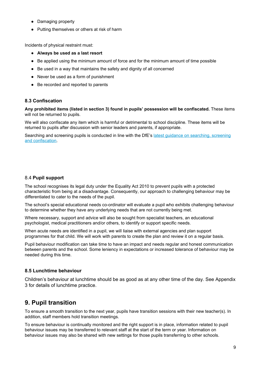- Damaging property
- Putting themselves or others at risk of harm

Incidents of physical restraint must:

- **Always be used as a last resort**
- Be applied using the minimum amount of force and for the minimum amount of time possible
- Be used in a way that maintains the safety and dignity of all concerned
- Never be used as a form of punishment
- Be recorded and reported to parents

#### **8.3 Confiscation**

**Any prohibited items (listed in section 3) found in pupils' possession will be confiscated.** These items will not be returned to pupils.

We will also confiscate any item which is harmful or detrimental to school discipline. These items will be returned to pupils after discussion with senior leaders and parents, if appropriate.

Searching and screening pupils is conducted in line with the DfE's latest guidance on [searching,](https://www.gov.uk/government/publications/searching-screening-and-confiscation) screening and [confiscation](https://www.gov.uk/government/publications/searching-screening-and-confiscation).

#### 8.4 **Pupil support**

The school recognises its legal duty under the Equality Act 2010 to prevent pupils with a protected characteristic from being at a disadvantage. Consequently, our approach to challenging behaviour may be differentiated to cater to the needs of the pupil.

The school's special educational needs co-ordinator will evaluate a pupil who exhibits challenging behaviour to determine whether they have any underlying needs that are not currently being met.

Where necessary, support and advice will also be sought from specialist teachers, an educational psychologist, medical practitioners and/or others, to identify or support specific needs.

When acute needs are identified in a pupil, we will liaise with external agencies and plan support programmes for that child. We will work with parents to create the plan and review it on a regular basis.

Pupil behaviour modification can take time to have an impact and needs regular and honest communication between parents and the school. Some leniency in expectations or increased tolerance of behaviour may be needed during this time.

#### **8.5 Lunchtime behaviour**

Children's behaviour at lunchtime should be as good as at any other time of the day. See Appendix 3 for details of lunchtime practice.

### **9. Pupil transition**

To ensure a smooth transition to the next year, pupils have transition sessions with their new teacher(s). In addition, staff members hold transition meetings.

To ensure behaviour is continually monitored and the right support is in place, information related to pupil behaviour issues may be transferred to relevant staff at the start of the term or year. Information on behaviour issues may also be shared with new settings for those pupils transferring to other schools.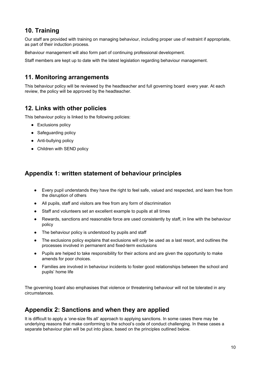### **10. Training**

Our staff are provided with training on managing behaviour, including proper use of restraint if appropriate, as part of their induction process.

Behaviour management will also form part of continuing professional development.

Staff members are kept up to date with the latest legislation regarding behaviour management.

### **11. Monitoring arrangements**

This behaviour policy will be reviewed by the headteacher and full governing board every year. At each review, the policy will be approved by the headteacher.

### **12. Links with other policies**

This behaviour policy is linked to the following policies:

- Exclusions policy
- Safeguarding policy
- Anti-bullying policy
- Children with SEND policy

### <span id="page-9-0"></span>**Appendix 1: written statement of behaviour principles**

- Every pupil understands they have the right to feel safe, valued and respected, and learn free from the disruption of others
- All pupils, staff and visitors are free from any form of discrimination
- Staff and volunteers set an excellent example to pupils at all times
- Rewards, sanctions and reasonable force are used consistently by staff, in line with the behaviour policy
- The behaviour policy is understood by pupils and staff
- The exclusions policy explains that exclusions will only be used as a last resort, and outlines the processes involved in permanent and fixed-term exclusions
- Pupils are helped to take responsibility for their actions and are given the opportunity to make amends for poor choices.
- Families are involved in behaviour incidents to foster good relationships between the school and pupils' home life

The governing board also emphasises that violence or threatening behaviour will not be tolerated in any circumstances.

### **Appendix 2: Sanctions and when they are applied**

It is difficult to apply a 'one-size fits all' approach to applying sanctions. In some cases there may be underlying reasons that make conforming to the school's code of conduct challenging. In these cases a separate behaviour plan will be put into place, based on the principles outlined below.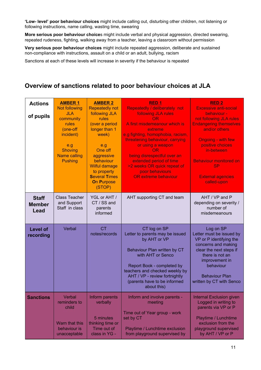**'Low- level' poor behaviour choices** might include calling out, disturbing other children, not listening or following instructions, name calling, wasting time, swearing

**More serious poor behaviour choice**s might include verbal and physical aggression, directed swearing, repeated rudeness, fighting, walking away from a teacher, leaving a classroom without permission

**Very serious poor behaviour choices** might include repeated aggression, deliberate and sustained non-compliance with instructions, assault on a child or an adult, bullying, racism

Sanctions at each of these levels will increase in severity if the behaviour is repeated

### **Overview of sanctions related to poor behaviour choices at JLA**

| <b>Actions</b><br>of pupils           | <b>AMBER 1</b><br><b>Not following</b><br><b>JLA</b><br>community<br>rules<br>(one-off<br>incident)<br>e.g<br><b>Shoving</b><br><b>Name calling</b><br><b>Pushing</b> | <b>AMBER 2</b><br><b>Repeatedly not</b><br>following JLA<br>rules<br>(over a period<br>longer than 1<br>week)<br>e.g<br>One off<br>aggressive<br>behaviour<br>Wilful damage<br>to property<br><b>Several Times</b><br><b>On Purpose</b><br>(STOP) | RED <sub>1</sub><br>Repeatedly / deliberately not<br>following JLA rules<br>OR.<br>A first misdemeanour which is<br>extreme<br>e.g fighting, homophobia, racism,<br>threatening behaviour, carrying<br>or using a weapon<br>OR.<br>being disrespectful over an<br>extended period of time<br>>2 weeks OR quick repeat of<br>poor behaviours<br><b>OR extreme behaviour</b> | <b>RED 2</b><br><b>Excessive anti-social</b><br>behaviour -<br>not following JLA rules<br><b>Endangering themselves</b><br>and/or others<br><b>Ongoing - with few</b><br>positive choices<br>in-between<br><b>Behaviour monitored on</b><br><b>SP</b><br><b>External agencies</b><br>called-upon |
|---------------------------------------|-----------------------------------------------------------------------------------------------------------------------------------------------------------------------|---------------------------------------------------------------------------------------------------------------------------------------------------------------------------------------------------------------------------------------------------|----------------------------------------------------------------------------------------------------------------------------------------------------------------------------------------------------------------------------------------------------------------------------------------------------------------------------------------------------------------------------|--------------------------------------------------------------------------------------------------------------------------------------------------------------------------------------------------------------------------------------------------------------------------------------------------|
| <b>Staff</b><br><b>Member</b><br>Lead | <b>Class Teacher</b><br>and Support<br>Staff in class                                                                                                                 | YGL or AHT /<br>CT / SS and<br>parents<br>informed                                                                                                                                                                                                | AHT supporting CT and team                                                                                                                                                                                                                                                                                                                                                 | AHT / VP and P<br>depending on severity /<br>number of<br>misdemeanours                                                                                                                                                                                                                          |
| <b>Level of</b><br>recording          | Verbal                                                                                                                                                                | <b>CT</b><br>notes/records                                                                                                                                                                                                                        | CT log on SP<br>Letter to parents may be issued<br>by AHT or VP<br>Behaviour Plan written by CT<br>with AHT or Senco<br>Report Book - completed by<br>teachers and checked weekly by<br>AHT / VP - review fortnightly<br>(parents have to be informed<br>about this)                                                                                                       | Log on SP<br>Letter must be issued by<br>VP or P identifying the<br>concerns and making<br>clear the next steps if<br>there is not an<br>improvement in<br>behaviour<br><b>Behaviour Plan</b><br>written by CT with Senco                                                                        |
| <b>Sanctions</b>                      | Verbal<br>reminders to<br>child<br>Warn that this<br>behaviour is<br>unacceptable                                                                                     | Inform parents<br>verbally<br>5 minutes<br>thinking time or<br>Time out of<br>class in YG -                                                                                                                                                       | Inform and involve parents -<br>meeting<br>Time out of Year group - work<br>set by CT<br>Playtime / Lunchtime exclusion<br>from playground supervised by                                                                                                                                                                                                                   | <b>Internal Exclusion given</b><br>Logged in writing to<br>parents via VP or P<br>Playtime / Lunchtime<br>exclusion from the<br>playground supervised<br>by AHT / VP or P                                                                                                                        |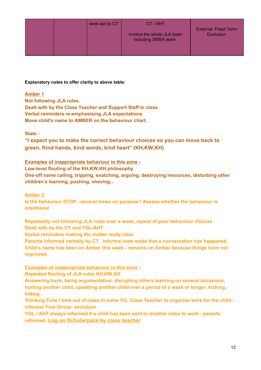|  | work set by CT | CT / AHT                                           | <b>External Fixed Term</b><br><b>Exclusion</b> |
|--|----------------|----------------------------------------------------|------------------------------------------------|
|  |                | Involve the whole JLA team<br>including SMSA team. |                                                |
|  |                |                                                    |                                                |

**Explanatory notes to offer clarity to above table:**

#### **Amber 1**

**Not following JLA rules. Dealt with by the Class Teacher and Support Staff in class Verbal reminders re-emphasising JLA expectations Move child's name to AMBER on the behaviour chart.**

#### **State -**

**"I expect you to make the correct behaviour choices so you can move back to green. Kind hands, kind words, kind heart" (KH,KW,KH)**

#### **Examples of inappropriate behaviour in this zone -**

**Low-level flouting of the KH,KW,KH philosophy One-off name calling, tripping, snatching, arguing, destroying resources, disturbing other children's learning, pushing, shoving...**

# **Amber 2**

**Is the behaviour STOP - several times on purpose? Assess whether the behaviour is intentional**

**Repeatedly not following JLA rules over a week, repeat of poor behaviour choices Dealt with by the CT and YGL/AHT**

**Verbal reminders making the matter really clear.**

**Parents informed verbally by CT. Informal note made that a conversation has happened. Child's name has been on Amber this week - remains on Amber because things have not improved.**

**Examples of inappropriate behaviour in this zone -**

**Repeated flouting of JLA rules KH,KW,KH**

**Answering back, being argumentative, disrupting others learning on several occasions, hurting another child, upsetting another child over a period of a week or longer, kicking, hitting**

Thinking Time / time out of class in same YG. Class Teacher to organise work for the child **informal Year Group exclusion**

**YGL / AHT always informed if a child has been sent to another class to work - parents informed. Log on Scholarpack by class teacher**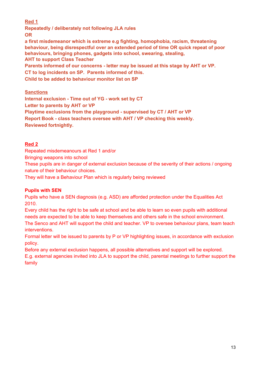#### **Red 1**

**Repeatedly / deliberately not following JLA rules OR**

**a first misdemeanor which is extreme e.g fighting, homophobia, racism, threatening behaviour, being disrespectful over an extended period of time OR quick repeat of poor behaviours, bringing phones, gadgets into school, swearing, stealing, AHT to support Class Teacher**

**Parents informed of our concerns - letter may be issued at this stage by AHT or VP. CT to log incidents on SP. Parents informed of this.**

**Child to be added to behaviour monitor list on SP**

### **Sanctions**

**Internal exclusion - Time out of YG - work set by CT Letter to parents by AHT or VP Playtime exclusions from the playground - supervised by CT / AHT or VP Report Book - class teachers oversee with AHT / VP checking this weekly. Reviewed fortnightly.**

#### **Red 2**

Repeated misdemeanours at Red 1 and/or

Bringing weapons into school

These pupils are in danger of external exclusion because of the severity of their actions / ongoing nature of their behaviour choices.

They will have a Behaviour Plan which is regularly being reviewed

#### **Pupils with SEN**

Pupils who have a SEN diagnosis (e.g. ASD) are afforded protection under the Equalities Act 2010.

Every child has the right to be safe at school and be able to learn so even pupils with additional needs are expected to be able to keep themselves and others safe in the school environment. The Senco and AHT will support the child and teacher. VP to oversee behaviour plans, team teach interventions.

Formal letter will be issued to parents by P or VP highlighting issues, in accordance with exclusion policy.

Before any external exclusion happens, all possible alternatives and support will be explored.

E.g. external agencies invited into JLA to support the child, parental meetings to further support the family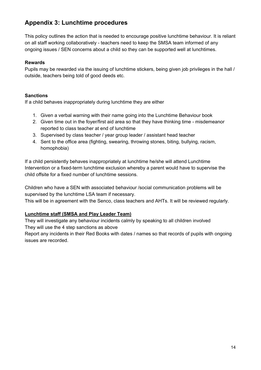### **Appendix 3: Lunchtime procedures**

This policy outlines the action that is needed to encourage positive lunchtime behaviour. It is reliant on all staff working collaboratively - teachers need to keep the SMSA team informed of any ongoing issues / SEN concerns about a child so they can be supported well at lunchtimes.

#### **Rewards**

Pupils may be rewarded via the issuing of lunchtime stickers, being given job privileges in the hall / outside, teachers being told of good deeds etc.

#### **Sanctions**

If a child behaves inappropriately during lunchtime they are either

- 1. Given a verbal warning with their name going into the Lunchtime Behaviour book
- 2. Given time out in the foyer/first aid area so that they have thinking time misdemeanor reported to class teacher at end of lunchtime
- 3. Supervised by class teacher / year group leader / assistant head teacher
- 4. Sent to the office area (fighting, swearing, throwing stones, biting, bullying, racism, homophobia)

If a child persistently behaves inappropriately at lunchtime he/she will attend Lunchtime Intervention or a fixed-term lunchtime exclusion whereby a parent would have to supervise the child offsite for a fixed number of lunchtime sessions.

Children who have a SEN with associated behaviour /social communication problems will be supervised by the lunchtime LSA team if necessary.

This will be in agreement with the Senco, class teachers and AHTs. It will be reviewed regularly.

#### **Lunchtime staff (SMSA and Play Leader Team)**

They will investigate any behaviour incidents calmly by speaking to all children involved They will use the 4 step sanctions as above

Report any incidents in their Red Books with dates / names so that records of pupils with ongoing issues are recorded.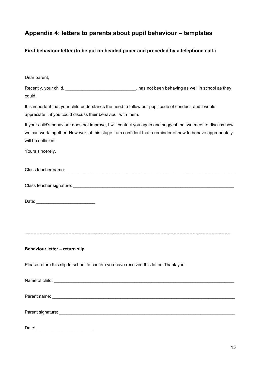## **Appendix 4: letters to parents about pupil behaviour – templates**

**First behaviour letter (to be put on headed paper and preceded by a telephone call.)**

| Dear parent,                                                                                                                                                                                                                                      |
|---------------------------------------------------------------------------------------------------------------------------------------------------------------------------------------------------------------------------------------------------|
| Recently, your child, _________________________________, has not been behaving as well in school as they<br>could.                                                                                                                                |
| It is important that your child understands the need to follow our pupil code of conduct, and I would<br>appreciate it if you could discuss their behaviour with them.                                                                            |
| If your child's behaviour does not improve, I will contact you again and suggest that we meet to discuss how<br>we can work together. However, at this stage I am confident that a reminder of how to behave appropriately<br>will be sufficient. |
| Yours sincerely,                                                                                                                                                                                                                                  |
|                                                                                                                                                                                                                                                   |
|                                                                                                                                                                                                                                                   |
|                                                                                                                                                                                                                                                   |
|                                                                                                                                                                                                                                                   |
| Behaviour letter - return slip                                                                                                                                                                                                                    |
| Please return this slip to school to confirm you have received this letter. Thank you.                                                                                                                                                            |
|                                                                                                                                                                                                                                                   |
|                                                                                                                                                                                                                                                   |
|                                                                                                                                                                                                                                                   |
| Date:                                                                                                                                                                                                                                             |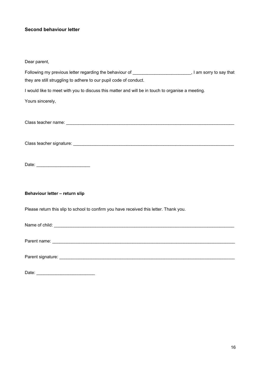### **Second behaviour letter**

| Dear parent,                                                                                     |  |
|--------------------------------------------------------------------------------------------------|--|
| they are still struggling to adhere to our pupil code of conduct.                                |  |
| I would like to meet with you to discuss this matter and will be in touch to organise a meeting. |  |
| Yours sincerely,                                                                                 |  |
|                                                                                                  |  |
|                                                                                                  |  |
|                                                                                                  |  |
|                                                                                                  |  |
|                                                                                                  |  |
|                                                                                                  |  |
|                                                                                                  |  |
|                                                                                                  |  |
| Behaviour letter - return slip                                                                   |  |
| Please return this slip to school to confirm you have received this letter. Thank you.           |  |
|                                                                                                  |  |
|                                                                                                  |  |
|                                                                                                  |  |
|                                                                                                  |  |
|                                                                                                  |  |
| Date:                                                                                            |  |